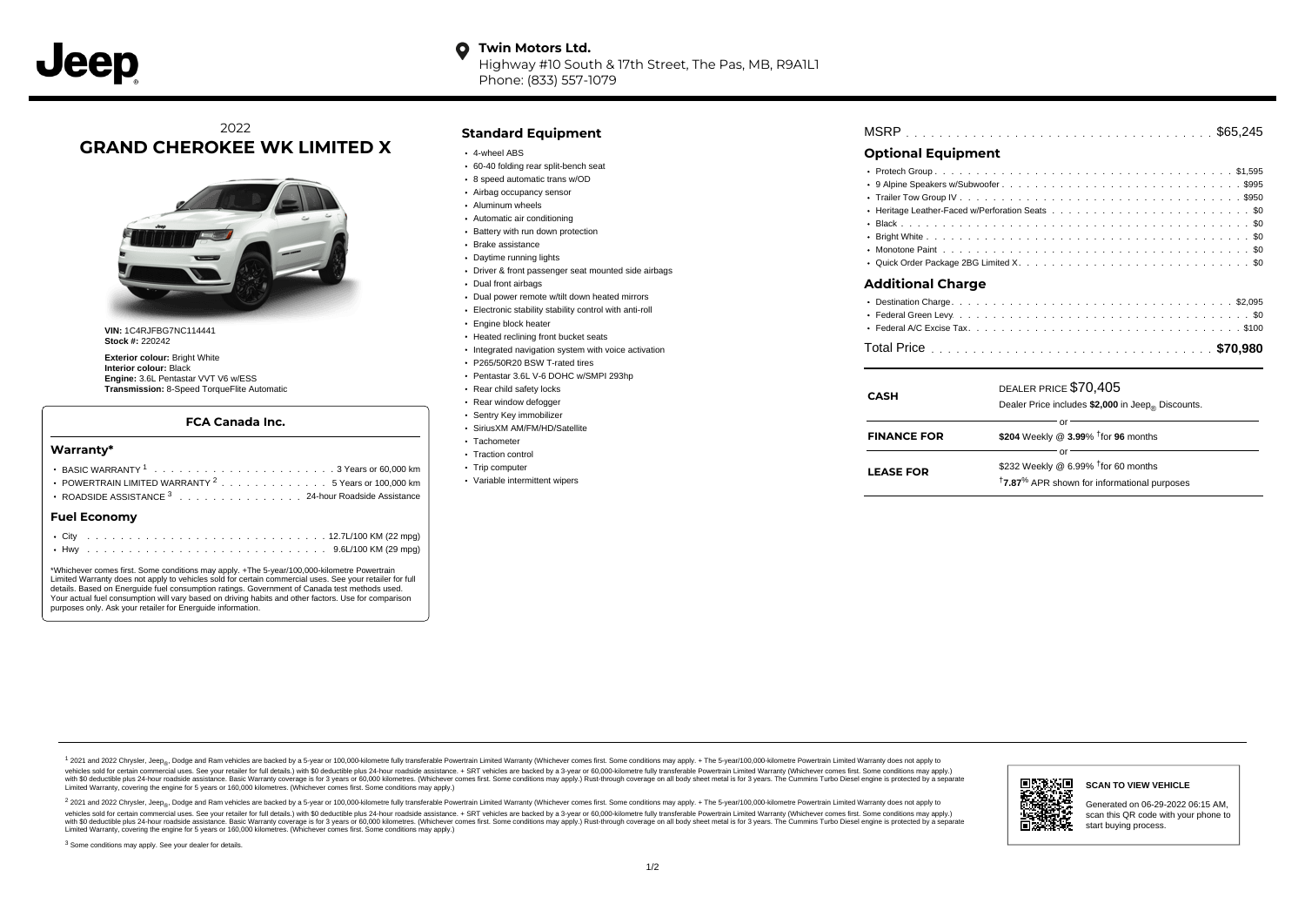Highway #10 South & 17th Street, The Pas, MB, R9A1L1 Phone: (833) 557-1079

# 2022 **GRAND CHEROKEE WK LIMITED X**



**VIN:** 1C4RJFBG7NC114441 **Stock #:** 220242

**Exterior colour:** Bright White **Interior colour:** Black **Engine:** 3.6L Pentastar VVT V6 w/ESS **Transmission:** 8-Speed TorqueFlite Automatic

#### **FCA Canada Inc.**

#### **Warranty\***

| <b>Fuel Economv</b>                                            |  |  |  |  |  |
|----------------------------------------------------------------|--|--|--|--|--|
| ROADSIDE ASSISTANCE <sup>3</sup> 24-hour Roadside Assistance   |  |  |  |  |  |
| POWERTRAIN LIMITED WARRANTY <sup>2</sup> 5 Years or 100,000 km |  |  |  |  |  |
|                                                                |  |  |  |  |  |
|                                                                |  |  |  |  |  |

\*Whichever comes first. Some conditions may apply. +The 5-year/100,000-kilometre Powertrain Limited Warranty does not apply to vehicles sold for certain commercial uses. See your retailer for full details. Based on Energuide fuel consumption ratings. Government of Canada test methods used. Your actual fuel consumption will vary based on driving habits and other factors. Use for comparison purposes only. Ask your retailer for Energuide information.

#### **Standard Equipment**

- 4-wheel ABS
- 60-40 folding rear split-bench seat
- 8 speed automatic trans w/OD
- Airbag occupancy sensor
- Aluminum wheels
- Automatic air conditioning
- Battery with run down protection
- Brake assistance
- Daytime running lights
- Driver & front passenger seat mounted side airbags
- Dual front airbags
- Dual power remote w/tilt down heated mirrors
- Electronic stability stability control with anti-roll
- Engine block heater
- Heated reclining front bucket seats
- Integrated navigation system with voice activation
- P265/50R20 BSW T-rated tires
- Pentastar 3.6L V-6 DOHC w/SMPI 293hp
- Rear child safety locks
- Rear window defogger
- Sentry Key immobilizer
- SiriusXM AM/FM/HD/Satellite
- Tachometer • Traction control
- 
- Trip computer
- Variable intermittent wipers

| <b>MSRP</b> |  |  |  |  |  |  |  |  |  |  |  |  |  |  |  |  |  |  |  |  |  |  |  |  |  |  |  |  |  |  |  |  |  |  |  |  |  |  |  |  |  |  |  |  |  |  |  |  |  |
|-------------|--|--|--|--|--|--|--|--|--|--|--|--|--|--|--|--|--|--|--|--|--|--|--|--|--|--|--|--|--|--|--|--|--|--|--|--|--|--|--|--|--|--|--|--|--|--|--|--|--|
|-------------|--|--|--|--|--|--|--|--|--|--|--|--|--|--|--|--|--|--|--|--|--|--|--|--|--|--|--|--|--|--|--|--|--|--|--|--|--|--|--|--|--|--|--|--|--|--|--|--|--|

### **Optional Equipment**

| Additional Charge |
|-------------------|
|                   |
|                   |
|                   |

## . . . . . . . . . . . . . . . . . . . . . . . . . . . . . . . . . . . . . . . . . . . . . . Total Price **\$70,980**

| <b>CASH</b>        | DEALER PRICE \$70,405<br>Dealer Price includes \$2,000 in Jeep <sub>®</sub> Discounts. |  |  |  |  |  |  |  |  |  |
|--------------------|----------------------------------------------------------------------------------------|--|--|--|--|--|--|--|--|--|
|                    |                                                                                        |  |  |  |  |  |  |  |  |  |
| <b>FINANCE FOR</b> | \$204 Weekly @ $3.99\%$ <sup>†</sup> for 96 months                                     |  |  |  |  |  |  |  |  |  |
|                    | Ωľ                                                                                     |  |  |  |  |  |  |  |  |  |
| <b>LEASE FOR</b>   | \$232 Weekly @ 6.99% $†$ for 60 months                                                 |  |  |  |  |  |  |  |  |  |
|                    | <sup>†</sup> 7.87 <sup>%</sup> APR shown for informational purposes                    |  |  |  |  |  |  |  |  |  |
|                    |                                                                                        |  |  |  |  |  |  |  |  |  |

1 2021 and 2022 Chrysler, Jeep<sub>en</sub> Dodge and Ram vehicles are backed by a 5-year or 100,000-kilometre fully transferable Powertrain Limited Warranty (Whichever comes first. Some conditions may apply. + The 5-year/100,000-k vehicles sold for certain commercial uses. See your retailer for full details.) with \$0 deductible plus 24-hour roadside assistance. + SRT vehicles are backed by a 3-year or 60,000-kilometre fully transferable Powertrain L versus and contract the mean of the contract of the contract with a contract with a contract the contract of the search of the contract and a control of the contract and contract and control of the search of the search of Limited Warranty, covering the engine for 5 years or 160,000 kilometres. (Whichever comes first. Some conditions may apply.)

2 2021 and 2022 Chrysler, Jeep<sub>e»</sub> Dodge and Ram vehicles are backed by a 5-year or 100,000-kilometre fully transferable Powertrain Limited Warranty (Whichever comes first. Some conditions may apply. + The 5-year/100,000-k vehicles sold for certain commercial uses. See your retailer for full details.) with SO deductible plus 24-hour roadside assistance. + SRT vehicles are backed by a 3-year or 60.000-kilometre fully transferable Powertrain L with S0 deductible plus 24-hour roadside assistance. Basic Warranty coverage is for 3 years or 60,000 kilometres. (Whichever comes first. Some conditions may apply.) Rust-through coverage on all body sheet metal is for 3 y



#### **SCAN TO VIEW VEHICLE**

Generated on 06-29-2022 06:15 AM, scan this QR code with your phone to start buying process.

<sup>3</sup> Some conditions may apply. See your dealer for details.